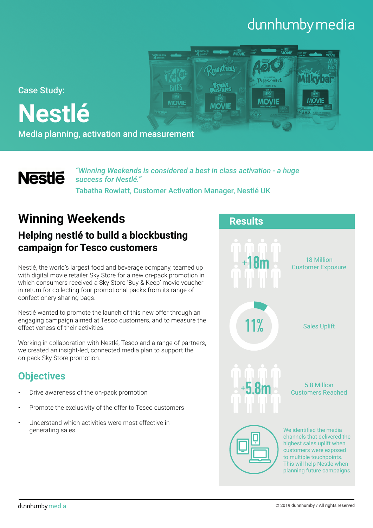# dunnhumby media

**MOVII** 

**MOVIE** 

Case Study:

**Nestlé**

Media planning, activation and measurement

# **Nestle**

*"Winning Weekends is considered a best in class activation - a huge success for Nestlé."* Tabatha Rowlatt, Customer Activation Manager, Nestlé UK

**MOVIE** 

mentrees

**MOVIE** 

# **Winning Weekends**

## **Helping nestlé to build a blockbusting campaign for Tesco customers**

Nestlé, the world's largest food and beverage company, teamed up with digital movie retailer Sky Store for a new on-pack promotion in which consumers received a Sky Store 'Buy & Keep' movie voucher in return for collecting four promotional packs from its range of confectionery sharing bags.

Nestlé wanted to promote the launch of this new offer through an engaging campaign aimed at Tesco customers, and to measure the effectiveness of their activities.

Working in collaboration with Nestlé, Tesco and a range of partners, we created an insight-led, connected media plan to support the on-pack Sky Store promotion.

## **Objectives**

- Drive awareness of the on-pack promotion
- Promote the exclusivity of the offer to Tesco customers
- Understand which activities were most effective in generating sales